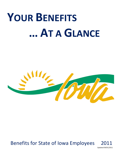# **YOUR BENEFITS … AT A GLANCE**



## Benefits for State of Iowa Employees 2

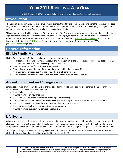## **YOUR 2011 BENEFITS … AT A GLANCE**

AFSCME–covered, UE/IUP–covered, Judicial Branch, and Non-Contract (Non-Judicial) employees

#### **Introduction**

The State of Iowa's commitment to its employees is demonstrated by the compensation and benefits package negotiated on your behalf by the State of Iowa. In addition to your direct compensation as a State of Iowa employee, a significant amount is spent on the benefit plans available to you and your family.

This document provides highlights of the State of Iowa benefits. Because it is only a summary, it cannot be considered a legal document. More detailed information about the State's employee benefits can be found at two Department of Administrative Services – Human Resources Enterprise's websites, Benefits [\(http://benefits.iowa.gov\)](http://benefits.iowa.gov/) and Retirement Investor's Club (RIC) ([http://ric.iowa.gov\)](http://ric.iowa.gov/), and at the Iowa Public Employees Retirement System (IPERS) [\(http://www.ipers.org\)](http://www.ipers.org/) website.

## **General Information**

#### **Eligible Family Members**

Eligible family members for health and dental insurance coverage are:

- Your spouse (A husband or wife as the result of a marriage that is legally recognized in Iowa. This does not include a spouse from whom you are legally separated or divorced.)
- Your domestic partner (opposite sex or same sex)
- Your children through the end of the calendar year in which they turn age 26
- Your unmarried children over the age of 26 who are full-time students
- Your unmarried children who are totally and permanently disabled prior to age 27

#### **Annual Enrollment and Change Period**

Employees have an annual enrollment and change period in the fall to make benefit elections for the upcoming year. During the enrollment and change period you can:

- Enroll in health insurance.
- Change your health insurance plan.  $\bullet$
- Enroll in dental insurance (if there is a dental open enrollment).  $\bullet$
- Add eligible family members or remove family members from your health and/or dental insurance plans.  $\bullet$
- Apply to increase or decrease the amount of supplemental life insurance.  $\bullet$
- $\bullet$ Enroll or reenroll in the flexible spending account program.
- Change your pre-tax premium conversion selection.

#### **Life Events**

When you enroll in health insurance, dental insurance, life insurance and/or the flexible spending accounts, your benefit elections remain in effect to the end of the calendar year. You cannot make any changes until the next enrollment and change period unless you experience a qualified life event and the benefit change you request is consistent with the event.

To change coverage as a result of a qualifying life event, you must act within 30 days of the event (60 days in the case of birth, adoption, or loss of or eligibility for Medicaid, hawk-I, or SCHIP.)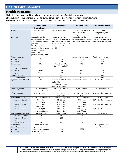#### **Health Care Benefits**

#### **Health Insurance**

**Eligibility**: Employees working 20 hours or more per week in benefit-eligible positions. **Effective**: First of the calendar month following completion of one month of continuous employment. **Summary:** All health insurance plans are provided by Wellmark Blue Cross Blue Shield of Iowa.

|                                    | <b>Blue Access</b>        | <b>Iowa Select</b>        | Program 3 Plus            | <b>Deductible 3 Plus</b>  |
|------------------------------------|---------------------------|---------------------------|---------------------------|---------------------------|
|                                    | <b>Blue Advantage</b>     |                           |                           |                           |
| Eligibility                        | All state employees       | All state employees       | AFSCME, Judicial Branch   | Non-Contract (Non-        |
|                                    |                           |                           | and PPME-covered          | Judicial) and UE/IUP-     |
|                                    |                           |                           | employees                 | covered employees         |
| Summary                            | Comprehensive health      | Comprehensive health      | Comprehensive health      | Comprehensive health      |
|                                    | care services provided by | care services provided by | care services provided by | care services provided by |
|                                    | a network of health care  | any health care provider  | any health care provider. | any health care provider. |
|                                    | providers.                | but lower coinsurance if  |                           |                           |
|                                    | Blue Access: Can see any  | you use network           |                           |                           |
|                                    | provider in the network   | providers.                |                           |                           |
|                                    | without a referral.       |                           |                           |                           |
|                                    | Blue Advantage: Select a  |                           |                           |                           |
|                                    | primary care physician.   |                           |                           |                           |
| Annual deductible                  |                           |                           | Inpatient service only    | Applies to all services   |
| Single                             | \$0                       | \$250                     | \$300                     | \$300                     |
| Family                             | \$0                       | \$500                     | \$400                     | \$400                     |
| Coinsurance                        | 20%                       | In-network: 10%           | 20%                       | 20%                       |
|                                    |                           | Out-of-network: 20%       |                           |                           |
| Out-of-Pocket Maximum              |                           |                           |                           |                           |
| Single                             | \$750                     | \$600<br>\$800            | \$600<br>\$800            | \$600<br>\$800            |
| Family                             | \$1,500                   |                           |                           |                           |
| Annual Maximum<br>Lifetime Maximum | None                      | None<br>None              | None<br>None              | None<br>None              |
|                                    | None<br>0%                | In-network: 10% after the | 20% after the deductible. | 20% after the deductible. |
| Inpatient Room & Board             |                           | deductible.               |                           |                           |
|                                    |                           | Out-of-network: 20%       |                           |                           |
|                                    |                           | after the deductible.     |                           |                           |
| <b>Emergency Room</b>              | \$50.00 copayment;        | \$50.00 copayment;        | 0%, no deductible.        | 0%, no deductible.        |
|                                    | waived if admitted.       | waived if admitted.       |                           |                           |
| Office Visit Exam                  | \$10.00 copayment.        | \$15.00 copayment for     | \$15.00 copayment per     | 20% after the deductible. |
|                                    |                           | exam only.                | visit.                    |                           |
| Prescription - Retail              | 30-day or 90-day supply   | 30-day or 90-day supply   | 30-day or 90-day supply   | 30-day supply             |
| <b>Preferred Generic</b>           | \$5 (30 day)              | \$5(30 day)               | \$5 (30 day)              | 20% after the deductible. |
|                                    | \$15 (90 day)             | \$15 (90 day)             | \$15 (90 day)             |                           |
| <b>Preferred Brand</b>             | \$15 (30 day)             | \$15 (30 day)             | \$15 (30 day)             | 20% after the deductible. |
| Name                               | \$45 (90 day)             | \$45 (90 day)             | \$45 (90 day)             |                           |
| Non-Preferred                      | \$30 or 25% (30 day)      | \$30 (30 day)             | \$30 (30 day)             | 20% after the deductible. |
|                                    | \$90 or 25% (90 day)      | \$90 (90 day)             | \$90 (90 day)             |                           |
| Prescription - Mail Order          | 90-day supply             | 90-day supply             | 90-day supply             | Not available             |
| <b>Preferred Generic</b>           | \$10                      | \$10                      | \$10                      |                           |
| <b>Preferred Brand</b>             | \$30                      | \$30                      | \$30                      |                           |
| Name                               |                           |                           |                           |                           |
| Non-Preferred                      | \$60                      | \$60                      | \$60                      |                           |
| Prescription                       | No separate out-of-       |                           |                           | No separate out-of-       |
| Out-of-Pocket Maximum              | pocket maximum.           |                           |                           | pocket maximum.           |
| Single                             | Copayments do not apply   | \$250                     | \$250                     |                           |
| Family                             | to medical out-of-pocket  | \$500                     | \$500                     |                           |
|                                    | maximum.                  |                           |                           |                           |

#### **2** This document briefly describes the benefits in effect on April 1, 2011. If there are discrepancies between this information and any of the plan documents or state policies, the plan documents or state policies will govern in all cases. The complete terms and conditions governing these benefits can be obtained through the Department of Administrative Services – Human Resources Enterprise: http://benefits.iowa.gov.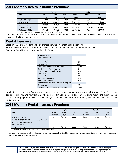#### **2011 Monthly Health Insurance Premiums**

|                       | <b>Single</b> |              | Family |            |              |          |
|-----------------------|---------------|--------------|--------|------------|--------------|----------|
| Plan                  | Total         | <b>State</b> | You    | Total      | <b>State</b> | You      |
|                       | Premium       | Pays         | Pay    | Premium    | Pays         | Pay      |
| <b>Blue Advantage</b> | \$450.69      | \$450.69     | \$0.00 | \$1,054.65 | \$1,054.65   | \$0.00   |
| <b>Blue Access</b>    | \$468.10      | \$468.10     | \$0.00 | \$1,095.34 | \$1,095.34   | \$0.00   |
| <b>Iowa Select</b>    | \$747.91      | \$747.91     | \$0.00 | \$1,750.14 | \$1,487.62   | \$262.52 |
| Program 3 Plus        | \$750.62      | \$750.62     | \$0.00 | \$1,756.45 | \$1,487.63   | \$268.82 |
| Deductible 3 Plus     | \$754.39      | \$754.39     | \$0.00 | \$1,765.33 | \$1,487.63   | \$277.70 |

\* Contact your personnel assistant for part-time employees' rates.

If you and your spouse are both State of Iowa employees, the double-spouse family credit provides family health insurance coverage with little or no premium.

#### **Dental Insurance**

**Eligibility:** Employees working 20 hours or more per week in benefit-eligible positions.

**Effective:** First of the calendar month following completion of one month of continuous employment. **Summary:** Dental insurance provided by Delta Dental.

| <b>Delta Dental Premier</b>                            |         |  |  |  |
|--------------------------------------------------------|---------|--|--|--|
| <b>Annual Deductible</b>                               |         |  |  |  |
| Single                                                 | \$0     |  |  |  |
| Family                                                 | \$0     |  |  |  |
| Coinsurance                                            | Varies  |  |  |  |
| Annual Maximum Benefit per Member                      | \$1,500 |  |  |  |
| <b>Check Ups and Teeth Cleaning</b>                    | 0%      |  |  |  |
| Cavity Repair and Tooth Extractions                    | 20%     |  |  |  |
| <b>Root Canals</b>                                     | 50%     |  |  |  |
| <b>Gum and Bone Disease</b>                            | 50%     |  |  |  |
| <b>High Cost Restorations</b>                          | 50%     |  |  |  |
| <b>Bridges and Dentures</b>                            | 50%     |  |  |  |
| <b>Orthodontics</b> (only for dependents under age 19) |         |  |  |  |
| Coinsurance                                            | 50%     |  |  |  |
| Lifetime Maximum Benefit per Member                    | \$1.500 |  |  |  |

In addition to dental benefits, you also have access to a **vision discount** program through EyeMed Vision Care at no additional cost. You and your family members, enrolled in Delta Dental of Iowa, are eligible to receive the discounts. The vision discount program provides discounts on eye exams, lens and lens options, frames, conventional contact lenses and LASIK and PRK.

#### **2011 Monthly Dental Insurance Premiums**

|                                                 | <b>Single</b> |              | Family |         |              |         |
|-------------------------------------------------|---------------|--------------|--------|---------|--------------|---------|
| Plan                                            | Total         | <b>State</b> | You    | Total   | <b>State</b> | You     |
|                                                 | Premium       | Pays         | Pay    | Premium | Pays         | Pay     |
| AFSCME-covered                                  | \$26.65       | \$26.65      | \$0.00 | \$71.65 | \$35.83      | \$35.82 |
| Judicial-Branch (AFSCME-covered & Non-Contract) |               |              |        |         |              |         |
| Non-Contract (Non-Judicial)                     |               |              |        |         |              |         |
| PPME-covered                                    |               |              |        |         |              |         |
| UE/IUP-covered                                  | \$26.65       | \$26.65      | \$0.00 | \$71.65 | \$26.65      | \$45.00 |

\* Contact your personnel assistant for part-time employees' rates.

If you and your spouse are both State of Iowa employees, the double-spouse family credit provides family dental insurance coverage with little or no premium.

**<sup>3</sup>** This document briefly describes the benefits in effect on April 1, 2011. If there are discrepancies between this information and any of the plan documents or state policies, the plan documents or state policies will govern in all cases. The complete terms and conditions governing these benefits can be obtained through the Department of Administrative Services – Human Resources Enterprise: http://benefits.iowa.gov.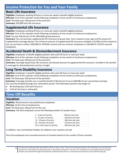#### **Income Protection for You and Your Family**

#### **Basic Life Insurance**

**Eligibility:** Employees working 30 hours or more per week in benefit-eligible positions. **Effective:** First of the calendar month following completion of one month of continuous employment. **Cost:** The State pays 100 percent of the premium. **Summary:** \$20,000 term life insurance.

#### **Supplemental Life Insurance**

**Eligibility:** Employees working 30 hours or more per week in benefit-eligible positions.

**Effective:** First of the calendar month following completion of one month of continuous employment.

**Cost:** You pay 100 percent of the affordable group premium.

**Summary:** You can purchase supplemental life insurance at group rates. Cost is based on your age and the amount of supplemental coverage elected. The minimum amount of supplemental life insurance available is \$5,000 and the maximum you can purchase is either \$100,000 for AFSCME-covered and non-contract employees or \$40,000 for UE/IUP-covered employees.

#### **Accidental Death & Dismemberment Insurance**

**Eligibility:** Employees in benefit-eligible positions who work 30 hours or more per week.

**Effective:** First of the calendar month following completion of one month of continuous employment.

**Cost:** The State pays 100 percent of the premium.

**Summary:** Coverage equals basic life insurance and elected amount of supplemental life insurance. Included in this benefit is coverage for dismemberment and loss of sight.

### **Long Term Disability Insurance**

**Eligibility:** Employees in benefit-eligible positions who work 30 hours or more per week.

**Effective:** First of the calendar month following completion of one month of continuous employment.

**Cost:** The State pays 100 percent of the premium.

**Summary:** Coverage provides you a monthly benefit of 60 percent of up to \$60,000 of your annual base earnings. You must be disabled through your elimination period. The elimination period is the longer of:

- 90 working days (720 work hours) or
- Until all sick leave is exhausted

## **Time Off Benefits**

#### **Vacation**

**Eligibility:** All permanent and probationary employees.

**Effective:** At the time of employment.

**Cost:** The State pays 100 percent of the cost.

**Summary:** Full-time employees accrue the following number of vacation hours.

| 1 - 4 years of service      | 80 hours per year  |
|-----------------------------|--------------------|
| 5 - 11 years of service     | 120 hours per year |
| 12 - 19 years of service    | 160 hours per year |
| 20 - 24 years of service    | 176 hours per year |
| 25 or more years of service | 200 hours per year |

In addition, two unscheduled holidays are added to your vacation accrual.

Part-time employees earn prorated amounts of vacation based on the number of hours worked.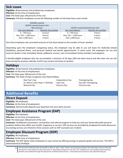#### **Sick Leave**

**Eligibility:** All permanent and probationary employees.

**Effective:** At the time of employment.

**Cost:** The State pays 100 percent of the cost.

**Summary:** Full-time employees accrue the following number of sick leave hours each month.

| AFSCME-covered              |                        |                                    |                        |                             |  |
|-----------------------------|------------------------|------------------------------------|------------------------|-----------------------------|--|
| UE/IUP-covered Science Unit |                        |                                    |                        |                             |  |
| Non-Contract                |                        | UE/IUP-covered Social Service Unit |                        |                             |  |
|                             | Sick Leave Balance     | Monthly Accrual Rate               | Sick Leave Balance     | <b>Monthly Accrual Rate</b> |  |
|                             | $0 - 750$ hours        | 12 hours                           | $0 - 750$ hours        | 8 hours                     |  |
|                             | Over 750 - 1,500 hours | 8 hours                            | Over 750 - 1,500 hours | 6 hours                     |  |
|                             | Over 1,500 hours       | 4 hours                            | Over 1,500 hours       | 4 hours                     |  |

Part-time employees earn prorated amounts of sick leave based on the number of hours worked.

Depending upon the employee's bargaining status, the employee may be able to use sick leave for medically-related disabilities, personal illness, and personal medical and dental appointments. In some cases, the employee can use sick leave for deaths in the immediate family, pallbearer service, care of immediate family members and adoption.

A benefit-eligible employee who has accumulated a minimum of 30 days (240 sick leave hours) and who does not use sick leave during the previous calendar month may convert sick leave to vacation.

#### **Holidays**

**Eligibility:** All permanent and probationary employees.

**Effective:** At the time of employment.

**Cost:** The State pays 100 percent of the cost.

**Summary:** The State of Iowa recognizes nine fixed holidays.

| New Year's Day                        | Independence Day    | Thanksgiving Day       |
|---------------------------------------|---------------------|------------------------|
| Dr. Martin Luther King Jr.'s Birthday | Labor Day           | Day after Thanksgiving |
| Memorial Day                          | <b>Veterans Day</b> | Christmas Day          |

### **Additional Benefits**

#### **Direct Deposit**

**Eligibility:** All employees.

**Effective:** At the time of employment.

**Summary:** Electronically deposits your paycheck into your bank account.

#### **Employee Assistance Program (EAP)**

**Eligibility:** All employees.

**Effective:** At the time of employment.

**Cost:** The State pays 100 percent of the cost.

**Summary:** Confidential assessment, consultation and referral program to help you and your family deal with personal problems before they affect your health, happiness or success. EAP services are provided by Employee & Family Resources. Counseling services are limited to three sessions with an EAP counselor per incident.

#### **Employee Discount Program (EDP)**

**Eligibility:** All employees.

**Effective:** At the time of employment.

**Summary:** The EDP allows state employees to save money by offering savings on popular goods and services. The EDP is administered by PerkSpot.

**5** This document briefly describes the benefits in effect on April 1, 2011. If there are discrepancies between this information and any of the plan documents or state policies, the plan documents or state policies will govern in all cases. The complete terms and conditions governing these benefits can be obtained through the Department of Administrative Services – Human Resources Enterprise: http://benefits.iowa.gov.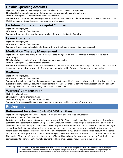#### **Flexible Spending Accounts**

**Eligibility:** Employees in benefit-eligible positions who work 20 hours or more per week.

**Effective:** First of the calendar month following the date you submit an enrollment form.

**Cost:** The State pays 100 percent of the administrative cost.

**Summary:** You may defer up to \$3,000 per year for unreimbursed health and dental expenses on a pre-tax basis and up to \$5,000 per year for dependent care expenses on a pre-tax basis.

#### **Lactation Rooms on the Capitol Complex**

**Eligibility:** All employees.

**Effective:** At the time of employment.

**Summary:** There are eight lactation rooms available for use on the Capitol Complex.

#### **Leave Programs**

**Eligibility:** All employees.

**Effective:** At the time of employment.

**Summary:** Employees may be eligible for leave, with or without pay, with supervisory pre-approval.

#### **Medication Therapy Management**

**Eligibility:** Employees and family members (except Board of Regents employees) enrolled in a State of Iowa health insurance plan.

**Effective:** When the State of Iowa health insurance coverage begins.

**Cost:** The State pays 100 percent of the program.

**Summary**: Specially-trained local Pharmacists review all your medications to identify any duplications or conflicts and help to organize your medication schedule. The program is administered by Outcomes Pharmaceutical Health Care**.**

#### **Wellness**

**Eligibility:** All employees.

**Effective:** At the time of employment.

**Summary:** Through the State's wellness program, "Healthy Opportunities," employees have a variety of wellness services available to them, such as, discounts at fitness centers, wellness information, personal health assessment, on-site health screenings, webcasts, and stop-smoking assistance to list just a few.

#### **Workers' Compensation**

**Eligibility:** All employees.

**Effective:** At the time of employment.

**Cost:** The State pays 100 percent of the premium.

**Summary:** On-the-job accident coverage. Payments are determined by the State of Iowa statute.

#### **Retirement**

#### **Retirement Investors' Club 457/401(a) Plans**

**Eligibility:** All employees who work 20 hours or more per week or have a fixed annual salary.

**Effective:** At the time of employment.

**Cost:** Of the 150+ investment options, fees range from 0%-1.70%. Your cost will depend on the investment(s) you choose. **Summary:** The Retirement Investors' Club (RIC) is a voluntary retirement savings program that allows you to set aside a portion of your salary to help you supplement the state-sponsored retirement plan and social security benefits. While you are participating in RIC, payroll deductions in the amount you choose are taken from your paycheck (before state and federal taxes) and deposited into your selection of investments in your 457 employee contribution account. At the same time, the State makes pretax match contributions into your selection of investments in your 401a employer match account. The match is \$1 for every \$1 you contribute up to a \$75 monthly maximum for most state employees. Contributions and earnings grow tax-deferred until you take payment(s). There are no vesting requirements in this program.